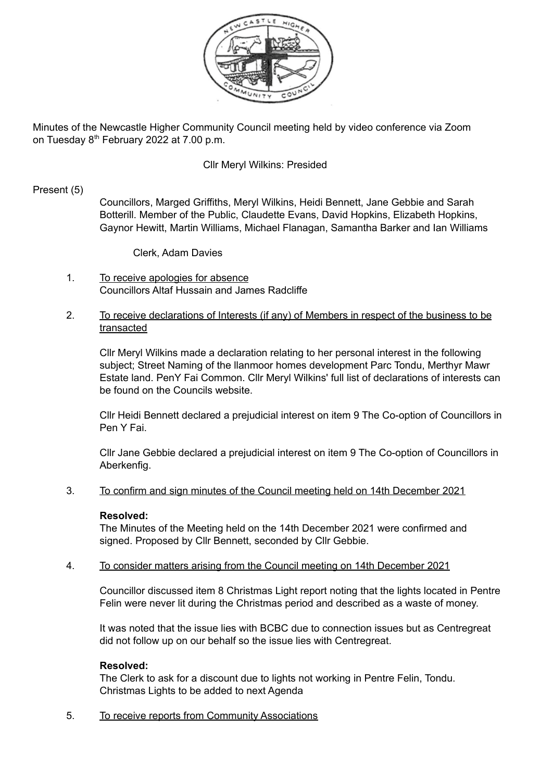

Minutes of the Newcastle Higher Community Council meeting held by video conference via Zoom on Tuesday 8<sup>th</sup> February 2022 at 7.00 p.m.

## Cllr Meryl Wilkins: Presided

## Present (5)

Councillors, Marged Griffiths, Meryl Wilkins, Heidi Bennett, Jane Gebbie and Sarah Botterill. Member of the Public, Claudette Evans, David Hopkins, Elizabeth Hopkins, Gaynor Hewitt, Martin Williams, Michael Flanagan, Samantha Barker and Ian Williams

Clerk, Adam Davies

1. To receive apologies for absence Councillors Altaf Hussain and James Radcliffe

# 2. To receive declarations of Interests (if any) of Members in respect of the business to be transacted

Cllr Meryl Wilkins made a declaration relating to her personal interest in the following subject; Street Naming of the llanmoor homes development Parc Tondu, Merthyr Mawr Estate land. PenY Fai Common. Cllr Meryl Wilkins' full list of declarations of interests can be found on the Councils website.

Cllr Heidi Bennett declared a prejudicial interest on item 9 The Co-option of Councillors in Pen Y Fai.

Cllr Jane Gebbie declared a prejudicial interest on item 9 The Co-option of Councillors in Aberkenfig.

### 3. To confirm and sign minutes of the Council meeting held on 14th December 2021

## **Resolved:**

The Minutes of the Meeting held on the 14th December 2021 were confirmed and signed. Proposed by Cllr Bennett, seconded by Cllr Gebbie.

## 4. To consider matters arising from the Council meeting on 14th December 2021

Councillor discussed item 8 Christmas Light report noting that the lights located in Pentre Felin were never lit during the Christmas period and described as a waste of money.

It was noted that the issue lies with BCBC due to connection issues but as Centregreat did not follow up on our behalf so the issue lies with Centregreat.

## **Resolved:**

The Clerk to ask for a discount due to lights not working in Pentre Felin, Tondu. Christmas Lights to be added to next Agenda

5. To receive reports from Community Associations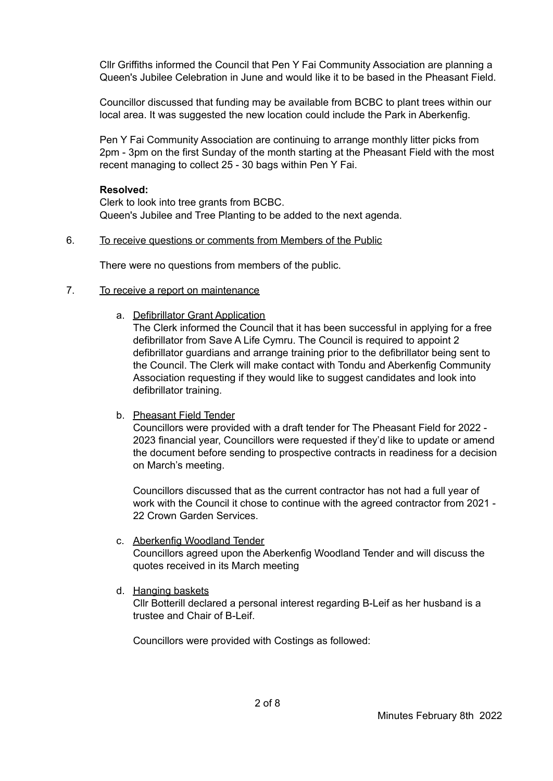Cllr Griffiths informed the Council that Pen Y Fai Community Association are planning a Queen's Jubilee Celebration in June and would like it to be based in the Pheasant Field.

Councillor discussed that funding may be available from BCBC to plant trees within our local area. It was suggested the new location could include the Park in Aberkenfig.

Pen Y Fai Community Association are continuing to arrange monthly litter picks from 2pm - 3pm on the first Sunday of the month starting at the Pheasant Field with the most recent managing to collect 25 - 30 bags within Pen Y Fai.

## **Resolved:**

Clerk to look into tree grants from BCBC. Queen's Jubilee and Tree Planting to be added to the next agenda.

### 6. To receive questions or comments from Members of the Public

There were no questions from members of the public.

## 7. To receive a report on maintenance

a. Defibrillator Grant Application

The Clerk informed the Council that it has been successful in applying for a free defibrillator from Save A Life Cymru. The Council is required to appoint 2 defibrillator guardians and arrange training prior to the defibrillator being sent to the Council. The Clerk will make contact with Tondu and Aberkenfig Community Association requesting if they would like to suggest candidates and look into defibrillator training.

## b. Pheasant Field Tender

Councillors were provided with a draft tender for The Pheasant Field for 2022 - 2023 financial year, Councillors were requested if they'd like to update or amend the document before sending to prospective contracts in readiness for a decision on March's meeting.

Councillors discussed that as the current contractor has not had a full year of work with the Council it chose to continue with the agreed contractor from 2021 - 22 Crown Garden Services.

# c. Aberkenfig Woodland Tender Councillors agreed upon the Aberkenfig Woodland Tender and will discuss the quotes received in its March meeting

d. Hanging baskets

Cllr Botterill declared a personal interest regarding B-Leif as her husband is a trustee and Chair of B-Leif.

Councillors were provided with Costings as followed: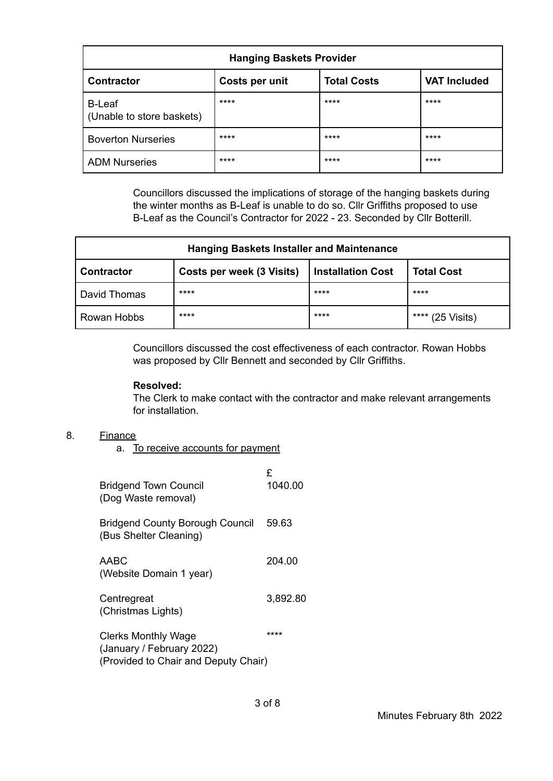| <b>Hanging Baskets Provider</b>            |                |                    |                     |
|--------------------------------------------|----------------|--------------------|---------------------|
| <b>Contractor</b>                          | Costs per unit | <b>Total Costs</b> | <b>VAT Included</b> |
| <b>B-Leaf</b><br>(Unable to store baskets) | ****           | ****               | ****                |
| <b>Boverton Nurseries</b>                  | ****           | ****               | ****                |
| <b>ADM Nurseries</b>                       | ****           | ****               | ****                |

Councillors discussed the implications of storage of the hanging baskets during the winter months as B-Leaf is unable to do so. Cllr Griffiths proposed to use B-Leaf as the Council's Contractor for 2022 - 23. Seconded by Cllr Botterill.

| <b>Hanging Baskets Installer and Maintenance</b> |                                  |                          |                               |
|--------------------------------------------------|----------------------------------|--------------------------|-------------------------------|
| <b>Contractor</b>                                | <b>Costs per week (3 Visits)</b> | <b>Installation Cost</b> | <b>Total Cost</b>             |
| David Thomas                                     | ****                             | ****                     | ****                          |
| Rowan Hobbs                                      | ****                             | ****                     | ****<br>$(25 \text{ Visits})$ |

Councillors discussed the cost effectiveness of each contractor. Rowan Hobbs was proposed by Cllr Bennett and seconded by Cllr Griffiths.

## **Resolved:**

The Clerk to make contact with the contractor and make relevant arrangements for installation.

## 8. Finance

a. To receive accounts for payment

| <b>Bridgend Town Council</b><br>(Dog Waste removal)                                             | £<br>1040.00 |
|-------------------------------------------------------------------------------------------------|--------------|
| <b>Bridgend County Borough Council</b><br>(Bus Shelter Cleaning)                                | 59.63        |
| AABC<br>(Website Domain 1 year)                                                                 | 204.00       |
| Centregreat<br>(Christmas Lights)                                                               | 3,892.80     |
| <b>Clerks Monthly Wage</b><br>(January / February 2022)<br>(Provided to Chair and Deputy Chair) | ****         |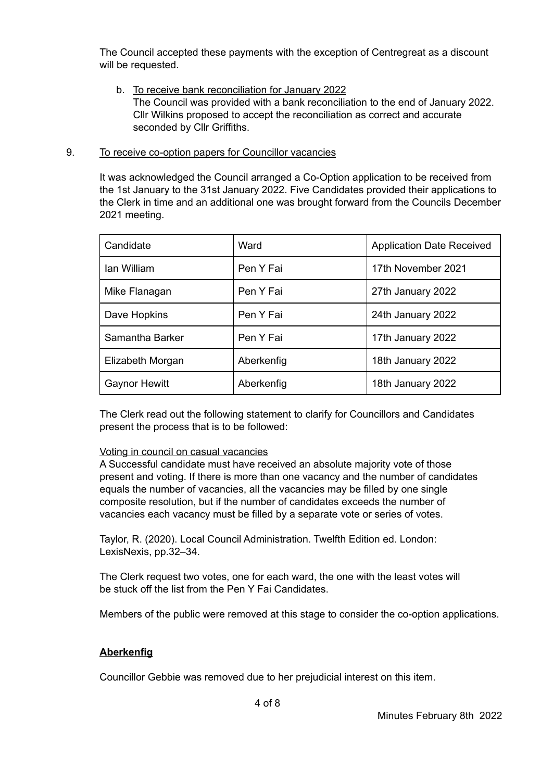The Council accepted these payments with the exception of Centregreat as a discount will be requested.

b. To receive bank reconciliation for January 2022 The Council was provided with a bank reconciliation to the end of January 2022. Cllr Wilkins proposed to accept the reconciliation as correct and accurate seconded by Cllr Griffiths.

## 9. To receive co-option papers for Councillor vacancies

It was acknowledged the Council arranged a Co-Option application to be received from the 1st January to the 31st January 2022. Five Candidates provided their applications to the Clerk in time and an additional one was brought forward from the Councils December 2021 meeting.

| Candidate            | Ward       | <b>Application Date Received</b> |
|----------------------|------------|----------------------------------|
| lan William          | Pen Y Fai  | 17th November 2021               |
| Mike Flanagan        | Pen Y Fai  | 27th January 2022                |
| Dave Hopkins         | Pen Y Fai  | 24th January 2022                |
| Samantha Barker      | Pen Y Fai  | 17th January 2022                |
| Elizabeth Morgan     | Aberkenfig | 18th January 2022                |
| <b>Gaynor Hewitt</b> | Aberkenfig | 18th January 2022                |

The Clerk read out the following statement to clarify for Councillors and Candidates present the process that is to be followed:

## Voting in council on casual vacancies

A Successful candidate must have received an absolute majority vote of those present and voting. If there is more than one vacancy and the number of candidates equals the number of vacancies, all the vacancies may be filled by one single composite resolution, but if the number of candidates exceeds the number of vacancies each vacancy must be filled by a separate vote or series of votes.

Taylor, R. (2020). Local Council Administration. Twelfth Edition ed. London: LexisNexis, pp.32–34.

The Clerk request two votes, one for each ward, the one with the least votes will be stuck off the list from the Pen Y Fai Candidates.

Members of the public were removed at this stage to consider the co-option applications.

## **Aberkenfig**

Councillor Gebbie was removed due to her prejudicial interest on this item.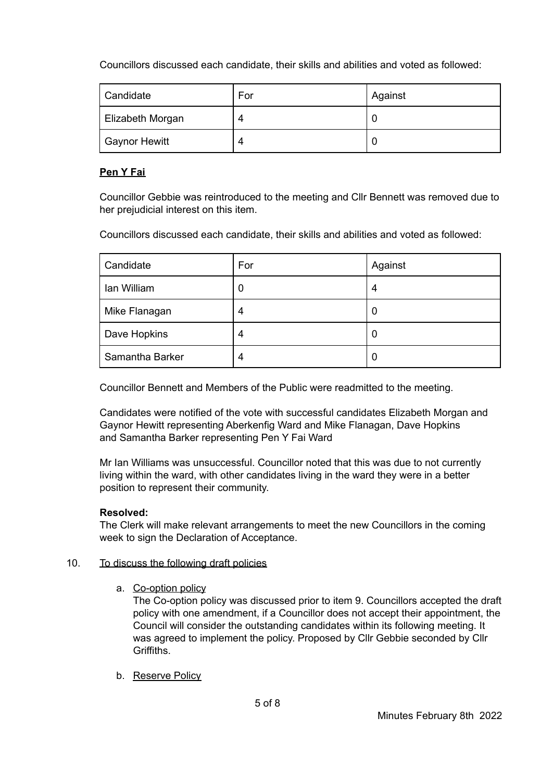Councillors discussed each candidate, their skills and abilities and voted as followed:

| Candidate        | For | Against |
|------------------|-----|---------|
| Elizabeth Morgan |     |         |
| Gaynor Hewitt    |     |         |

# **Pen Y Fai**

Councillor Gebbie was reintroduced to the meeting and Cllr Bennett was removed due to her prejudicial interest on this item.

Councillors discussed each candidate, their skills and abilities and voted as followed:

| Candidate       | For | Against |
|-----------------|-----|---------|
| Ian William     | U   | 4       |
| Mike Flanagan   | 4   | U       |
| Dave Hopkins    | 4   | U       |
| Samantha Barker | 4   | O       |

Councillor Bennett and Members of the Public were readmitted to the meeting.

Candidates were notified of the vote with successful candidates Elizabeth Morgan and Gaynor Hewitt representing Aberkenfig Ward and Mike Flanagan, Dave Hopkins and Samantha Barker representing Pen Y Fai Ward

Mr Ian Williams was unsuccessful. Councillor noted that this was due to not currently living within the ward, with other candidates living in the ward they were in a better position to represent their community.

# **Resolved:**

The Clerk will make relevant arrangements to meet the new Councillors in the coming week to sign the Declaration of Acceptance.

## 10. To discuss the following draft policies

a. Co-option policy

The Co-option policy was discussed prior to item 9. Councillors accepted the draft policy with one amendment, if a Councillor does not accept their appointment, the Council will consider the outstanding candidates within its following meeting. It was agreed to implement the policy. Proposed by Cllr Gebbie seconded by Cllr Griffiths.

b. Reserve Policy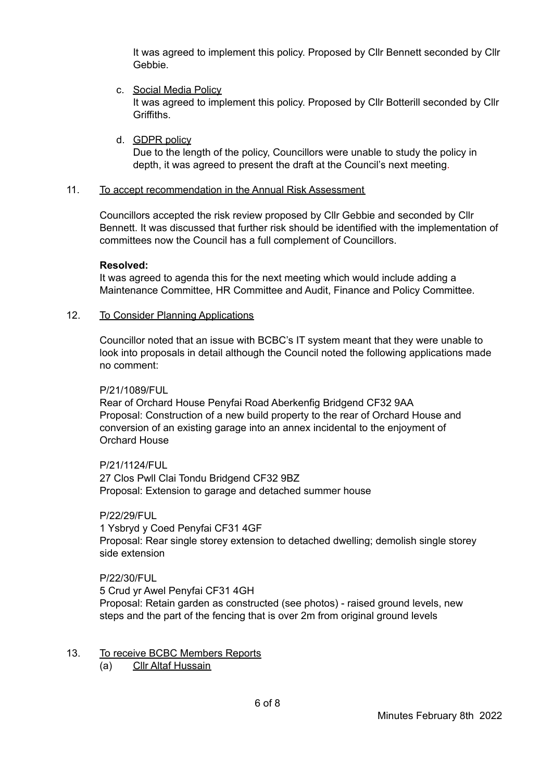It was agreed to implement this policy. Proposed by Cllr Bennett seconded by Cllr Gebbie.

- c. Social Media Policy It was agreed to implement this policy. Proposed by Cllr Botterill seconded by Cllr Griffiths.
- d. GDPR policy

Due to the length of the policy, Councillors were unable to study the policy in depth, it was agreed to present the draft at the Council's next meeting.

## 11. To accept recommendation in the Annual Risk Assessment

Councillors accepted the risk review proposed by Cllr Gebbie and seconded by Cllr Bennett. It was discussed that further risk should be identified with the implementation of committees now the Council has a full complement of Councillors.

### **Resolved:**

It was agreed to agenda this for the next meeting which would include adding a Maintenance Committee, HR Committee and Audit, Finance and Policy Committee.

## 12. To Consider Planning Applications

Councillor noted that an issue with BCBC's IT system meant that they were unable to look into proposals in detail although the Council noted the following applications made no comment:

### P/21/1089/FUL

Rear of Orchard House Penyfai Road Aberkenfig Bridgend CF32 9AA Proposal: Construction of a new build property to the rear of Orchard House and conversion of an existing garage into an annex incidental to the enjoyment of Orchard House

P/21/1124/FUL

27 Clos Pwll Clai Tondu Bridgend CF32 9BZ Proposal: Extension to garage and detached summer house

## P/22/29/FUL

1 Ysbryd y Coed Penyfai CF31 4GF Proposal: Rear single storey extension to detached dwelling; demolish single storey side extension

### P/22/30/FUL

5 Crud yr Awel Penyfai CF31 4GH Proposal: Retain garden as constructed (see photos) - raised ground levels, new steps and the part of the fencing that is over 2m from original ground levels

- 13. To receive BCBC Members Reports
	- (a) Cllr Altaf Hussain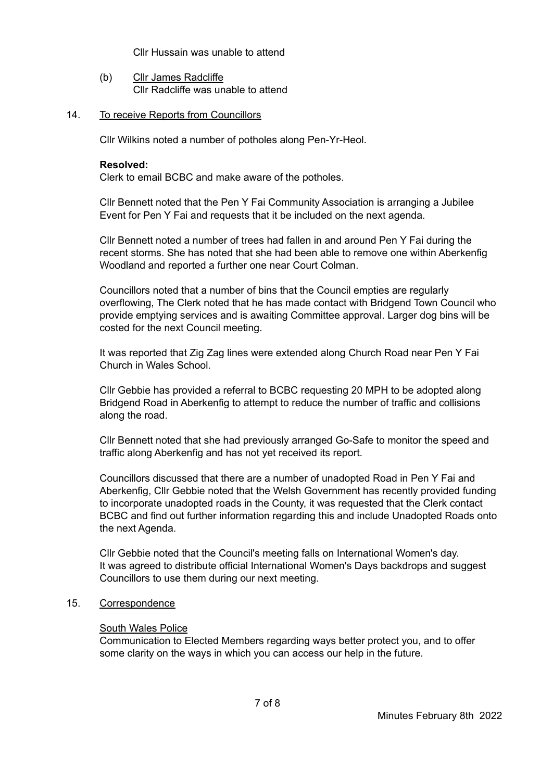Cllr Hussain was unable to attend

(b) Cllr James Radcliffe Cllr Radcliffe was unable to attend

### 14. To receive Reports from Councillors

Cllr Wilkins noted a number of potholes along Pen-Yr-Heol.

### **Resolved:**

Clerk to email BCBC and make aware of the potholes.

Cllr Bennett noted that the Pen Y Fai Community Association is arranging a Jubilee Event for Pen Y Fai and requests that it be included on the next agenda.

Cllr Bennett noted a number of trees had fallen in and around Pen Y Fai during the recent storms. She has noted that she had been able to remove one within Aberkenfig Woodland and reported a further one near Court Colman.

Councillors noted that a number of bins that the Council empties are regularly overflowing, The Clerk noted that he has made contact with Bridgend Town Council who provide emptying services and is awaiting Committee approval. Larger dog bins will be costed for the next Council meeting.

It was reported that Zig Zag lines were extended along Church Road near Pen Y Fai Church in Wales School.

Cllr Gebbie has provided a referral to BCBC requesting 20 MPH to be adopted along Bridgend Road in Aberkenfig to attempt to reduce the number of traffic and collisions along the road.

Cllr Bennett noted that she had previously arranged Go-Safe to monitor the speed and traffic along Aberkenfig and has not yet received its report.

Councillors discussed that there are a number of unadopted Road in Pen Y Fai and Aberkenfig, Cllr Gebbie noted that the Welsh Government has recently provided funding to incorporate unadopted roads in the County, it was requested that the Clerk contact BCBC and find out further information regarding this and include Unadopted Roads onto the next Agenda.

Cllr Gebbie noted that the Council's meeting falls on International Women's day. It was agreed to distribute official International Women's Days backdrops and suggest Councillors to use them during our next meeting.

# 15. Correspondence

### South Wales Police

Communication to Elected Members regarding ways better protect you, and to offer some clarity on the ways in which you can access our help in the future.